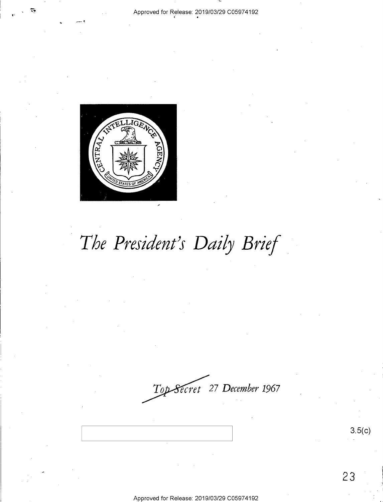### Approved for Release: 2019/03/29 C05974192



# The President's Daily Brief

Top-Secret 27 December 1967

 $3.5(c)$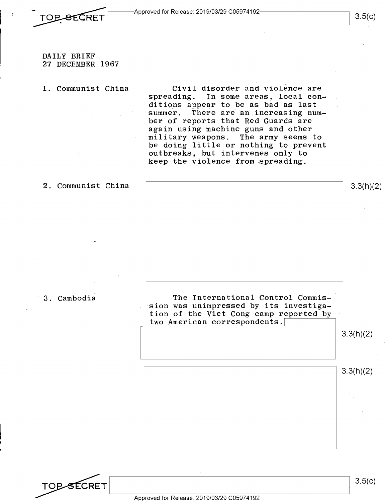

### DAILY BRIEF 27 DECEMBER·l967

#### **1.** Communist China

Civil disorder and violence are<br>spreading. In some areas, local con-In some areas, local conditions appear to be as bad as last summer. There are an increasing number of reports that Red Guards are again using machine guns and other military weapons. The army seems to be doing little or nothing to prevent outbreaks, but intervenes only to keep the violence from spreading.

### 2. Communist China

3.3(h)(2)

### 3. Cambodia

The International Control Commission was unimpressed by its investigation of the Viet Cong camp reported by two American correspondents.

3.3(h)(2)

3.3(h)(2)

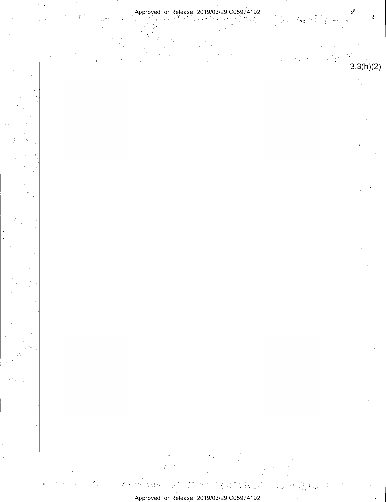



 $\mathbf{s}^{\mathcal{D}}$ 

 $\frac{1}{2}$ 

2<br>Popular

 $\mathbb{R}^{1/2}$ 

 $\sim$  .

 $\tilde{\mathbf{r}}$ 

 $3.3(h)(2)$ 



Approved for Release: 2019/03/29 C05974192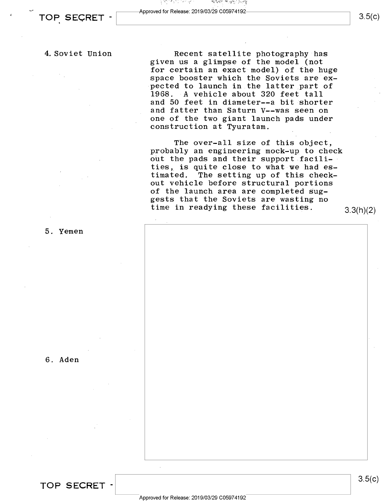# **TOP SECRET -** Approved for Release: 2019/03/29 C05974192<br> **TOP SECRET -**

3.5(c)

### 4. Soviet Union

Recent satellite photography has given us a glimpse of the model (not for certain an exact model) of the huge space booster which the Soviets are expected to launch in the latter part of 1968. A vehicle about 320 feet tall and 50 feet in diameter--a bit shorter and fatter than Saturn V--was seen on one of the two giant launch pads under construction at Tyuratam.

The over-all size of this object, probably an engineering mock-up to check out the pads and their support facilities, is quite close to what we had es-<br>timated. The setting up of this check-The setting up of this checkout vehicle before structural portions of the launch area are completed suggests that the Soviets are wasting no time in readying these facilities. 3.3(h)(2)

5. Yemen

6. Aden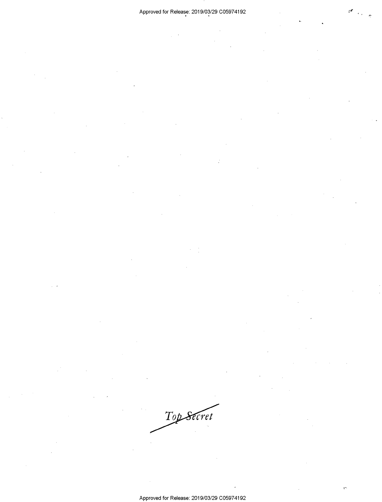Top Secret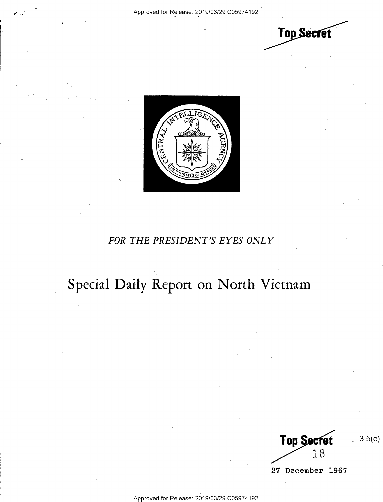**Top Secret** 



### *FOR THE PRESIDENT'S EYES ONLY*

# Special Daily Report on North Vietnam

**Top Secret** 18

3.5(c)

27 December 1967

Approved for Release: 2019/03/29 C0597 4192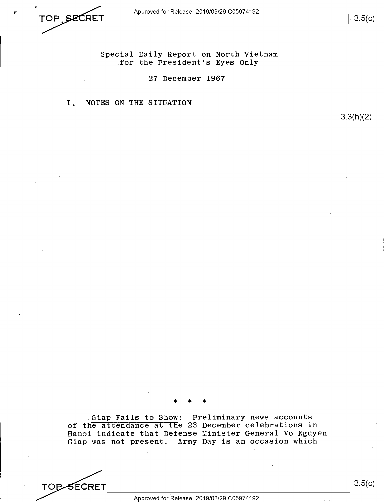**rop SECRET** Approved for Release: 2019/03/29 C05974192. *Approved for Release: 2019/03/29 C05974192\_*<br>TOP *SECRET* 

3.5(c)

3.3(h)(2)

Special Daily Report on North Vietnam for the President's Eyes Only

27 December 1967

I. NOTES ON THE SITUATION

\* \* \*

Giap Fails to Show: Preliminary news accounts of the attendance at the 23 December celebrations in .Hanoi indicate that Defense Minister General Vo Nguyen Giap was not present. Army Day is an occasion which

**TOP-SECRET**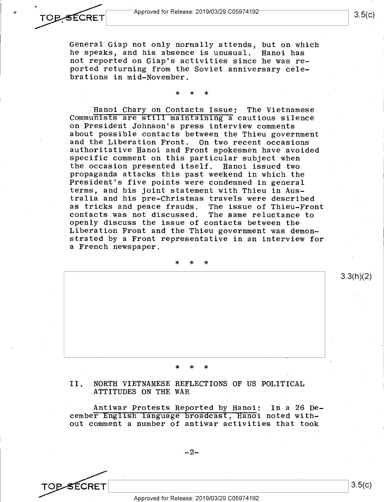General' Giap not only normally attends, but on which he speaks, and his absence is unusual. Hanoi has not reported on Giap's activities since he was reported returning from the Soviet anniversary celebrations in mid-November.

## \* \* \*

. Hanoi Chary on Contacts Issue: The Vietnamese Communists are still maintaining a cautious silence on President Johnson's press interview comments about possible contacts between the Thieu government and the Liberation Front. On two recent occasions authoritative Hanoi and Front spokesmen have avoided specific comment on this particular subject when the occasion presented itself. Hanoi issued two propaganda attacks this past weekend in which. the President's five points were condemned in general terms, and his joint statement with Thieu in Australia and his pre-Christmas travels were described as tricks and peace frauds. The issue of Thieu-Front<br>contacts was not discussed. The same reluctance to contacts was not discussed. openly discuss the issue of contacts between the Liberation Front and the Thieu government was demonstrated by a Front representative in an interview for a French newspaper.

\* \* \*

### II. NORTH VIETNAMESE REFLECTIONS OF US POLITICAL ATTITUDES ON THE WAR

\* \* \*

.Antiwar Protests Reported by Hanoi: In a 26 December English language broadcast, Hanoi noted without comment a number of antiwar activities that took

 $-2-$ 

SECRET

3.3(h)(2)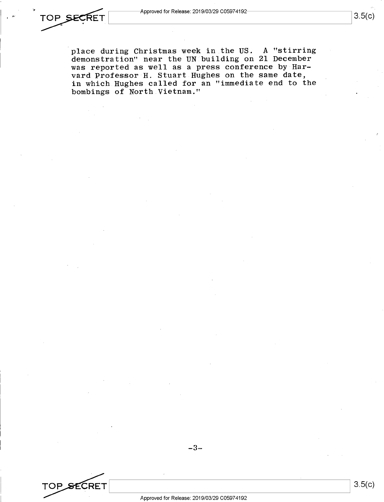place during Christmas week in the US. A "stirring demonstration" near the UN building on 21 December was reported as well as a press conference by Harvard Professor H. Stuart Hughes on the same date, in which Hughes called for an "immediate end to the bombings of North Vietnam."